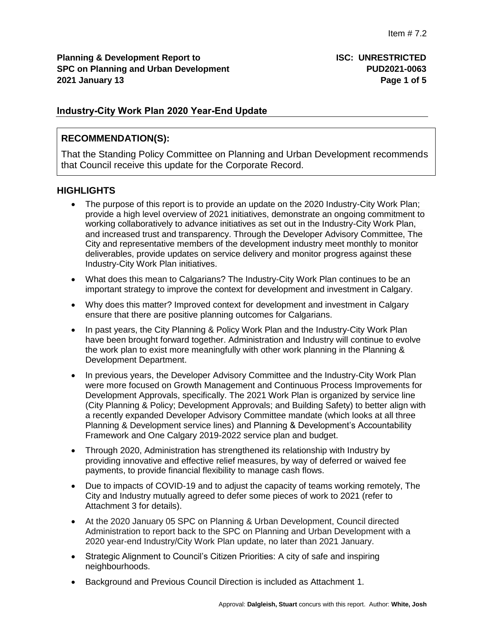**Planning & Development Report to <b>ISC: UNRESTRICTED SPC on Planning and Urban Development PUD2021-0063 2021 January 13 Page 1 of 5**

# **Industry-City Work Plan 2020 Year-End Update**

## **RECOMMENDATION(S):**

That the Standing Policy Committee on Planning and Urban Development recommends that Council receive this update for the Corporate Record.

# **HIGHLIGHTS**

- The purpose of this report is to provide an update on the 2020 Industry-City Work Plan; provide a high level overview of 2021 initiatives, demonstrate an ongoing commitment to working collaboratively to advance initiatives as set out in the Industry-City Work Plan, and increased trust and transparency. Through the Developer Advisory Committee, The City and representative members of the development industry meet monthly to monitor deliverables, provide updates on service delivery and monitor progress against these Industry-City Work Plan initiatives.
- What does this mean to Calgarians? The Industry-City Work Plan continues to be an important strategy to improve the context for development and investment in Calgary.
- Why does this matter? Improved context for development and investment in Calgary ensure that there are positive planning outcomes for Calgarians.
- In past years, the City Planning & Policy Work Plan and the Industry-City Work Plan have been brought forward together. Administration and Industry will continue to evolve the work plan to exist more meaningfully with other work planning in the Planning & Development Department.
- In previous years, the Developer Advisory Committee and the Industry-City Work Plan were more focused on Growth Management and Continuous Process Improvements for Development Approvals, specifically. The 2021 Work Plan is organized by service line (City Planning & Policy; Development Approvals; and Building Safety) to better align with a recently expanded Developer Advisory Committee mandate (which looks at all three Planning & Development service lines) and Planning & Development's Accountability Framework and One Calgary 2019-2022 service plan and budget.
- Through 2020, Administration has strengthened its relationship with Industry by providing innovative and effective relief measures, by way of deferred or waived fee payments, to provide financial flexibility to manage cash flows.
- Due to impacts of COVID-19 and to adjust the capacity of teams working remotely, The City and Industry mutually agreed to defer some pieces of work to 2021 (refer to Attachment 3 for details).
- At the 2020 January 05 SPC on Planning & Urban Development, Council directed Administration to report back to the SPC on Planning and Urban Development with a 2020 year-end Industry/City Work Plan update, no later than 2021 January.
- Strategic Alignment to Council's Citizen Priorities: A city of safe and inspiring neighbourhoods.
- Background and Previous Council Direction is included as Attachment 1.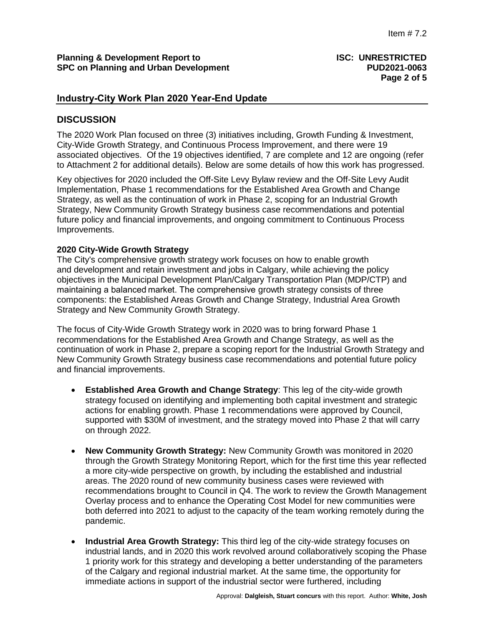# **Industry-City Work Plan 2020 Year-End Update**

# **DISCUSSION**

The 2020 Work Plan focused on three (3) initiatives including, Growth Funding & Investment, City-Wide Growth Strategy, and Continuous Process Improvement, and there were 19 associated objectives. Of the 19 objectives identified, 7 are complete and 12 are ongoing (refer to Attachment 2 for additional details). Below are some details of how this work has progressed.

Key objectives for 2020 included the Off-Site Levy Bylaw review and the Off-Site Levy Audit Implementation, Phase 1 recommendations for the Established Area Growth and Change Strategy, as well as the continuation of work in Phase 2, scoping for an Industrial Growth Strategy, New Community Growth Strategy business case recommendations and potential future policy and financial improvements, and ongoing commitment to Continuous Process Improvements.

#### **2020 City-Wide Growth Strategy**

The City's comprehensive growth strategy work focuses on how to enable growth and development and retain investment and jobs in Calgary, while achieving the policy objectives in the Municipal Development Plan/Calgary Transportation Plan (MDP/CTP) and maintaining a balanced market. The comprehensive growth strategy consists of three components: the Established Areas Growth and Change Strategy, Industrial Area Growth Strategy and New Community Growth Strategy.

The focus of City-Wide Growth Strategy work in 2020 was to bring forward Phase 1 recommendations for the Established Area Growth and Change Strategy, as well as the continuation of work in Phase 2, prepare a scoping report for the Industrial Growth Strategy and New Community Growth Strategy business case recommendations and potential future policy and financial improvements.

- **Established Area Growth and Change Strategy**: This leg of the city-wide growth strategy focused on identifying and implementing both capital investment and strategic actions for enabling growth. Phase 1 recommendations were approved by Council, supported with \$30M of investment, and the strategy moved into Phase 2 that will carry on through 2022.
- **New Community Growth Strategy:** New Community Growth was monitored in 2020 through the Growth Strategy Monitoring Report, which for the first time this year reflected a more city-wide perspective on growth, by including the established and industrial areas. The 2020 round of new community business cases were reviewed with recommendations brought to Council in Q4. The work to review the Growth Management Overlay process and to enhance the Operating Cost Model for new communities were both deferred into 2021 to adjust to the capacity of the team working remotely during the pandemic.
- **Industrial Area Growth Strategy:** This third leg of the city-wide strategy focuses on industrial lands, and in 2020 this work revolved around collaboratively scoping the Phase 1 priority work for this strategy and developing a better understanding of the parameters of the Calgary and regional industrial market. At the same time, the opportunity for immediate actions in support of the industrial sector were furthered, including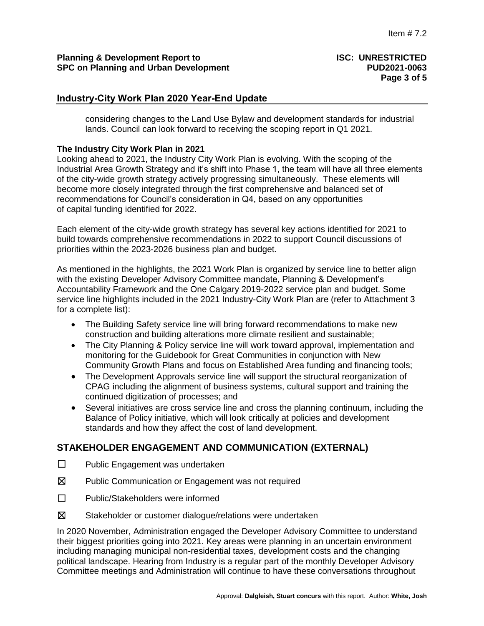# **Industry-City Work Plan 2020 Year-End Update**

considering changes to the Land Use Bylaw and development standards for industrial lands. Council can look forward to receiving the scoping report in Q1 2021.

#### **The Industry City Work Plan in 2021**

Looking ahead to 2021, the Industry City Work Plan is evolving. With the scoping of the Industrial Area Growth Strategy and it's shift into Phase 1, the team will have all three elements of the city-wide growth strategy actively progressing simultaneously. These elements will become more closely integrated through the first comprehensive and balanced set of recommendations for Council's consideration in Q4, based on any opportunities of capital funding identified for 2022.

Each element of the city-wide growth strategy has several key actions identified for 2021 to build towards comprehensive recommendations in 2022 to support Council discussions of priorities within the 2023-2026 business plan and budget.

As mentioned in the highlights, the 2021 Work Plan is organized by service line to better align with the existing Developer Advisory Committee mandate, Planning & Development's Accountability Framework and the One Calgary 2019-2022 service plan and budget. Some service line highlights included in the 2021 Industry-City Work Plan are (refer to Attachment 3 for a complete list):

- The Building Safety service line will bring forward recommendations to make new construction and building alterations more climate resilient and sustainable;
- The City Planning & Policy service line will work toward approval, implementation and monitoring for the Guidebook for Great Communities in conjunction with New Community Growth Plans and focus on Established Area funding and financing tools;
- The Development Approvals service line will support the structural reorganization of CPAG including the alignment of business systems, cultural support and training the continued digitization of processes; and
- Several initiatives are cross service line and cross the planning continuum, including the Balance of Policy initiative, which will look critically at policies and development standards and how they affect the cost of land development.

# **STAKEHOLDER ENGAGEMENT AND COMMUNICATION (EXTERNAL)**

- ☐ Public Engagement was undertaken
- ☒ Public Communication or Engagement was not required
- ☐ Public/Stakeholders were informed
- ☒ Stakeholder or customer dialogue/relations were undertaken

In 2020 November, Administration engaged the Developer Advisory Committee to understand their biggest priorities going into 2021. Key areas were planning in an uncertain environment including managing municipal non-residential taxes, development costs and the changing political landscape. Hearing from Industry is a regular part of the monthly Developer Advisory Committee meetings and Administration will continue to have these conversations throughout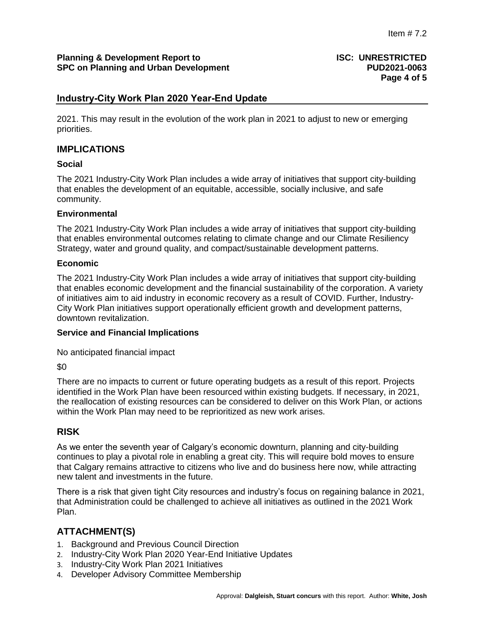# **Industry-City Work Plan 2020 Year-End Update**

2021. This may result in the evolution of the work plan in 2021 to adjust to new or emerging priorities.

### **IMPLICATIONS**

#### **Social**

The 2021 Industry-City Work Plan includes a wide array of initiatives that support city-building that enables the development of an equitable, accessible, socially inclusive, and safe community.

#### **Environmental**

The 2021 Industry-City Work Plan includes a wide array of initiatives that support city-building that enables environmental outcomes relating to climate change and our Climate Resiliency Strategy, water and ground quality, and compact/sustainable development patterns.

#### **Economic**

The 2021 Industry-City Work Plan includes a wide array of initiatives that support city-building that enables economic development and the financial sustainability of the corporation. A variety of initiatives aim to aid industry in economic recovery as a result of COVID. Further, Industry-City Work Plan initiatives support operationally efficient growth and development patterns, downtown revitalization.

#### **Service and Financial Implications**

No anticipated financial impact

 $$0$ 

There are no impacts to current or future operating budgets as a result of this report. Projects identified in the Work Plan have been resourced within existing budgets. If necessary, in 2021, the reallocation of existing resources can be considered to deliver on this Work Plan, or actions within the Work Plan may need to be reprioritized as new work arises.

# **RISK**

As we enter the seventh year of Calgary's economic downturn, planning and city-building continues to play a pivotal role in enabling a great city. This will require bold moves to ensure that Calgary remains attractive to citizens who live and do business here now, while attracting new talent and investments in the future.

There is a risk that given tight City resources and industry's focus on regaining balance in 2021, that Administration could be challenged to achieve all initiatives as outlined in the 2021 Work Plan.

# **ATTACHMENT(S)**

- 1. Background and Previous Council Direction
- 2. Industry-City Work Plan 2020 Year-End Initiative Updates
- 3. Industry-City Work Plan 2021 Initiatives
- 4. Developer Advisory Committee Membership